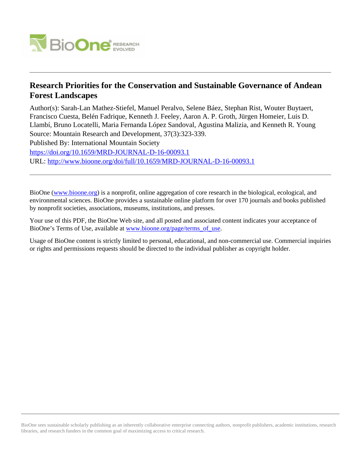

# **Research Priorities for the Conservation and Sustainable Governance of Andean Forest Landscapes**

Author(s): Sarah-Lan Mathez-Stiefel, Manuel Peralvo, Selene Báez, Stephan Rist, Wouter Buytaert, Francisco Cuesta, Belén Fadrique, Kenneth J. Feeley, Aaron A. P. Groth, Jürgen Homeier, Luis D. Llambí, Bruno Locatelli, Maria Fernanda López Sandoval, Agustina Malizia, and Kenneth R. Young Source: Mountain Research and Development, 37(3):323-339. Published By: International Mountain Society <https://doi.org/10.1659/MRD-JOURNAL-D-16-00093.1> URL: <http://www.bioone.org/doi/full/10.1659/MRD-JOURNAL-D-16-00093.1>

BioOne [\(www.bioone.org\)](http://www.bioone.org) is a nonprofit, online aggregation of core research in the biological, ecological, and environmental sciences. BioOne provides a sustainable online platform for over 170 journals and books published by nonprofit societies, associations, museums, institutions, and presses.

Your use of this PDF, the BioOne Web site, and all posted and associated content indicates your acceptance of BioOne's Terms of Use, available at [www.bioone.org/page/terms\\_of\\_use.](http://www.bioone.org/page/terms_of_use)

Usage of BioOne content is strictly limited to personal, educational, and non-commercial use. Commercial inquiries or rights and permissions requests should be directed to the individual publisher as copyright holder.

BioOne sees sustainable scholarly publishing as an inherently collaborative enterprise connecting authors, nonprofit publishers, academic institutions, research libraries, and research funders in the common goal of maximizing access to critical research.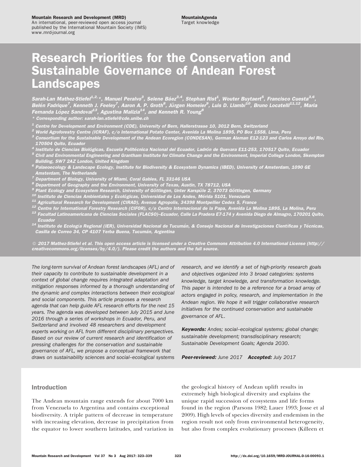# Mountain Research and Development (MRD)

An international, peer-reviewed open access journal published by the International Mountain Society (IMS) www.mrd-journal.org

# Research Priorities for the Conservation and Sustainable Governance of Andean Forest Landscapes

Sarah-Lan Mathez-Stiefel<sup>1,2,</sup>\*, Manuel Peralvo<sup>3</sup>, Selene Báez<sup>3,4</sup>, Stephan Rist<sup>1</sup>, Wouter Buytaert<sup>5</sup>, Francisco Cuesta<sup>3,6</sup>, Belén Fadrique<sup>7</sup>, Kenneth J. Feeley<sup>7</sup>, Aaron A. P. Groth<sup>8</sup>, Jürgen Homeier<sup>9</sup>, Luis D. Llambi<sup>10</sup>, Bruno Locatelli<sup>11,12</sup>, Maria Fernanda López Sandoval<sup>13</sup>, Agustina Malizia<sup>14</sup>, and Kenneth R. Young<sup>8</sup>

- Corresponding author: [sarah-lan.stiefel@cde.unibe.ch](mailto:sarah-lan.stiefel@cde.unibe.ch)
- <sup>1</sup> Centre for Development and Environment (CDE), University of Bern, Hallerstrasse 10, 3012 Bern, Switzerland
- <sup>2</sup> World Agroforestry Centre (ICRAF), c/o International Potato Center, Avenida La Molina 1895, PO Box 1558, Lima, Peru
- <sup>3</sup> Consortium for the Sustainable Development of the Andean Ecoregion (CONDESAN), German Aleman E12-123 and Carlos Arroyo del Rio,
- 
- 170504 Quito, Ecuador<br><sup>4</sup> Instituto de Ciencias Biológicas, Escuela Politécnica Nacional del Ecuador, Ladrón de Guevara E11-253, 170517 Quito, Ecuador<br><sup>5</sup> Civil and Environmental Engineering and Grantham Institute for Cl
- Building, SW7 2AZ London, United Kingdom<br><sup>6</sup> Palaeoecology & Landscape Ecology, Institute for Biodiversity & Ecosystem Dynamics (IBED), University of Amsterdam, 1090 GE Amsterdam, The Netherlands
- $^7$  Department of Biology, University of Miami, Coral Gables, FL 33146 USA
- Department of Geography and the Environment, University of Texas, Austin, TX 78712, USA
- <sup>9</sup> Plant Ecology and Ecosystem Research, University of Göttingen, Unter Karspüle 2, 37073 Göttingen, Germany<br><sup>10</sup> Instituto de Ciencias Ambientales y Ecológicas, Universidad de Los Andes, Mérida 5101, Venezuela<br><sup>11</sup> Agric
- 
- 
- $^{12}$  Centre for International Forestry Research (CIFOR), c/o Centro Internacional de la Papa, Avenida La Molina 1895, La Molina, Peru
- <sup>13</sup> Facultad Latinoamericana de Ciencias Sociales (FLACSO)–Ecuador, Calle La Pradera E7-174 y Avenida Diego de Almagro, 170201 Quito, Ecuador
- <sup>14</sup> Instituto de Ecología Regional (IER), Universidad Nacional de Tucumán, & Consejo Nacional de Investigaciones Científicas y Técnicas, Casilla de Correo 34, CP 4107 Yerba Buena, Tucumán, Argentina

 $^\circ$  2017 Mathez-Stiefel et al. This open access article is licensed under a Creative Commons Attribution 4.0 International License [\(http://](http://creativecommons.org/licenses/by/4.0/) [creativecommons.org/licenses/by/4.0/](http://creativecommons.org/licenses/by/4.0/)). Please credit the authors and the full source.

The long-term survival of Andean forest landscapes (AFL) and of their capacity to contribute to sustainable development in a context of global change requires integrated adaptation and mitigation responses informed by a thorough understanding of the dynamic and complex interactions between their ecological and social components. This article proposes a research agenda that can help guide AFL research efforts for the next 15 years. The agenda was developed between July 2015 and June 2016 through a series of workshops in Ecuador, Peru, and Switzerland and involved 48 researchers and development experts working on AFL from different disciplinary perspectives. Based on our review of current research and identification of pressing challenges for the conservation and sustainable governance of AFL, we propose a conceptual framework that draws on sustainability sciences and social–ecological systems

research, and we identify a set of high-priority research goals and objectives organized into 3 broad categories: systems knowledge, target knowledge, and transformation knowledge. This paper is intended to be a reference for a broad array of actors engaged in policy, research, and implementation in the Andean region. We hope it will trigger collaborative research initiatives for the continued conservation and sustainable governance of AFL.

Keywords: Andes; social-ecological systems; global change; sustainable development; transdisciplinary research; Sustainable Development Goals; Agenda 2030.

Peer-reviewed: June 2017 Accepted: July 2017

## Introduction

The Andean mountain range extends for about 7000 km from Venezuela to Argentina and contains exceptional biodiversity. A triple pattern of decrease in temperature with increasing elevation, decrease in precipitation from the equator to lower southern latitudes, and variation in

the geological history of Andean uplift results in extremely high biological diversity and explains the unique rapid succession of ecosystems and life forms found in the region (Parsons 1982; Lauer 1993; Josse et al 2009). High levels of species diversity and endemism in the region result not only from environmental heterogeneity, but also from complex evolutionary processes (Killeen et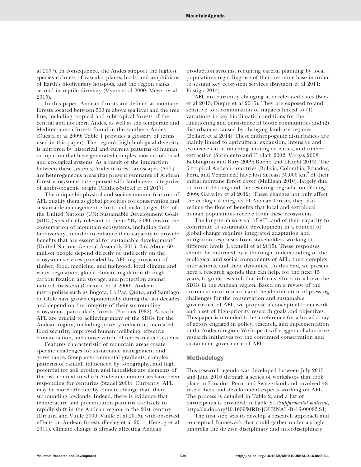al 2007). In consequence, the Andes support the highest species richness of vascular plants, birds, and amphibians of Earth's biodiversity hotspots, and the region ranks second in reptile diversity (Myers et al 2000; Meyer et al 2015).

In this paper, Andean forests are defined as montane forests located between 500 m above sea level and the tree line, including tropical and subtropical forests of the central and northern Andes, as well as the temperate and Mediterranean forests found in the southern Andes (Cuesta et al 2009; Table 1 provides a glossary of terms used in this paper). The region's high biological diversity is mirrored by historical and current patterns of human occupation that have generated complex mosaics of social and ecological systems. As a result of the interaction between these systems, Andean forest landscapes (AFL) are heterogeneous areas that present remnants of Andean forest ecosystems interspersed with land-cover categories of anthropogenic origin (Mathez-Stiefel et al 2017).

The unique biophysical and socioeconomic features of AFL qualify them as global priorities for conservation and sustainable management efforts and make target 15.4 of the United Nations (UN) Sustainable Development Goals (SDGs) specifically relevant to them: ''By 2030, ensure the conservation of mountain ecosystems, including their biodiversity, in order to enhance their capacity to provide benefits that are essential for sustainable development'' (United Nations General Assembly 2015: 25). About 60 million people depend directly or indirectly on the ecosystem services provided by AFL (eg provision of timber, food, medicine, and fuelwood; local climate and water regulation; global climate regulation through carbon fixation and storage; and protection against natural disasters) (Cincotta et al 2000). Andean metropolises such as Bogota, La Paz, Quito, and Santiago de Chile have grown exponentially during the last decades and depend on the integrity of their surrounding ecosystems, particularly forests (Parsons 1982). As such, AFL are crucial to achieving many of the SDGs for the Andean region, including poverty reduction, increased food security, improved human wellbeing, effective climate action, and conservation of terrestrial ecosystems.

Features characteristic of mountain areas create specific challenges for sustainable management and governance. Steep environmental gradients, complex patterns of rainfall influenced by topography, and high potential for soil erosion and landslides are elements of the risk context to which Andean communities have been responding for centuries (Stadel 2008). Currently, AFL may be more affected by climate change than their surrounding lowlands. Indeed, there is evidence that temperature and precipitation patterns are likely to rapidly shift in the Andean region in the 21st century (Urrutia and Vuille 2009; Vuille et al 2015), with observed effects on Andean forests (Feeley et al 2011; Herzog et al 2011). Climate change is already affecting Andean

production systems, requiring careful planning by local populations regarding use of their resource base in order to sustain key ecosystem services (Buytaert et al 2011; Postigo 2014).

AFL are currently changing at accelerated rates (Báez et al 2015; Duque et al 2015). They are exposed to and sensitive to a combination of impacts linked to (1) variations in key bioclimatic conditions for the functioning and persistence of biotic communities and (2) disturbances caused by changing land-use regimes (Bellard et al 2014). These anthropogenic disturbances are mainly linked to agricultural expansion, intensive and extensive cattle ranching, mining activities, and timber extraction (Sarmiento and Frolich 2002; Vargas 2008; Bebbington and Bury 2009; Bueno and Llambí 2015). The 5 tropical Andean countries (Bolivia, Colombia, Ecuador, Peru, and Venezuela) have lost at least  $50,000$  km<sup>2</sup> of their initial montane forest cover (Mulligan 2010), largely due to forest clearing and the resulting degradation (Young 2009; Garavito et al 2012). These changes not only affect the ecological integrity of Andean forests, they also reduce the flow of benefits that local and extralocal human populations receive from these ecosystems.

The long-term survival of AFL and of their capacity to contribute to sustainable development in a context of global change requires integrated adaptation and mitigation responses from stakeholders working at different levels (Locatelli et al 2015). These responses should be informed by a thorough understanding of the ecological and social components of AFL, their complex interactions, and their dynamics. To this end, we present here a research agenda that can help, for the next 15 years, to guide research that informs efforts to achieve the SDGs in the Andean region. Based on a review of the current state of research and the identification of pressing challenges for the conservation and sustainable governance of AFL, we propose a conceptual framework and a set of high-priority research goals and objectives. This paper is intended to be a reference for a broad array of actors engaged in policy, research, and implementation in the Andean region. We hope it will trigger collaborative research initiatives for the continued conservation and sustainable governance of AFL.

# Methodology

This research agenda was developed between July 2015 and June 2016 through a series of workshops that took place in Ecuador, Peru, and Switzerland and involved 48 researchers and development experts working on AFL. The process is detailed in Table 2, and a list of participants is provided in Table S1 (Supplemental material, <http://dx.doi.org/10.1659/MRD-JOURNAL-D-16-00093.S1>).

The first step was to develop a research approach and conceptual framework that could gather under a single umbrella the diverse disciplinary and interdisciplinary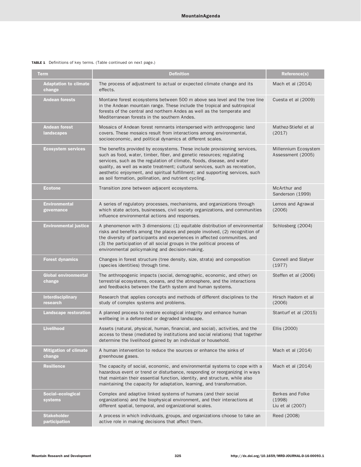TABLE 1 Definitions of key terms. (Table continued on next page.)

| <b>Term</b>                            | <b>Definition</b>                                                                                                                                                                                                                                                                                                                                                                                                                                      | <b>Reference(s)</b>                            |
|----------------------------------------|--------------------------------------------------------------------------------------------------------------------------------------------------------------------------------------------------------------------------------------------------------------------------------------------------------------------------------------------------------------------------------------------------------------------------------------------------------|------------------------------------------------|
| <b>Adaptation to climate</b><br>change | The process of adjustment to actual or expected climate change and its<br>effects.                                                                                                                                                                                                                                                                                                                                                                     | Mach et al (2014)                              |
| <b>Andean forests</b>                  | Montane forest ecosystems between 500 m above sea level and the tree line<br>in the Andean mountain range. These include the tropical and subtropical<br>forests of the central and northern Andes as well as the temperate and<br>Mediterranean forests in the southern Andes.                                                                                                                                                                        | Cuesta et al (2009)                            |
| <b>Andean forest</b><br>landscapes     | Mosaics of Andean forest remnants interspersed with anthropogenic land<br>covers. These mosaics result from interactions among environmental,<br>socioeconomic, and political dynamics at different scales.                                                                                                                                                                                                                                            | Mathez-Stiefel et al<br>(2017)                 |
| Ecosystem services                     | The benefits provided by ecosystems. These include provisioning services,<br>such as food, water, timber, fiber, and genetic resources; regulating<br>services, such as the regulation of climate, floods, disease, and water<br>quality, as well as waste treatment; cultural services, such as recreation,<br>aesthetic enjoyment, and spiritual fulfillment; and supporting services, such<br>as soil formation, pollination, and nutrient cycling. | Millennium Ecosystem<br>Assessment (2005)      |
| Ecotone                                | Transition zone between adjacent ecosystems.                                                                                                                                                                                                                                                                                                                                                                                                           | McArthur and<br>Sanderson (1999)               |
| <b>Environmental</b><br>governance     | A series of regulatory processes, mechanisms, and organizations through<br>which state actors, businesses, civil society organizations, and communities<br>influence environmental actions and responses.                                                                                                                                                                                                                                              | Lemos and Agrawal<br>(2006)                    |
| <b>Environmental justice</b>           | A phenomenon with 3 dimensions: (1) equitable distribution of environmental<br>risks and benefits among the places and people involved, (2) recognition of<br>the diversity of participants and experiences in affected communities, and<br>(3) the participation of all social groups in the political process of<br>environmental policymaking and decision-making.                                                                                  | Schlosberg (2004)                              |
| <b>Forest dynamics</b>                 | Changes in forest structure (tree density, size, strata) and composition<br>(species identities) through time.                                                                                                                                                                                                                                                                                                                                         | Connell and Slatyer<br>(1977)                  |
| <b>Global environmental</b><br>change  | The anthropogenic impacts (social, demographic, economic, and other) on<br>terrestrial ecosystems, oceans, and the atmosphere, and the interactions<br>and feedbacks between the Earth system and human systems.                                                                                                                                                                                                                                       | Steffen et al (2006)                           |
| <b>Interdisciplinary</b><br>research   | Research that applies concepts and methods of different disciplines to the<br>study of complex systems and problems.                                                                                                                                                                                                                                                                                                                                   | Hirsch Hadorn et al<br>(2006)                  |
| <b>Landscape restoration</b>           | A planned process to restore ecological integrity and enhance human<br>wellbeing in a deforested or degraded landscape.                                                                                                                                                                                                                                                                                                                                | Stanturf et al (2015)                          |
| <b>Livelihood</b>                      | Assets (natural, physical, human, financial, and social), activities, and the<br>access to these (mediated by institutions and social relations) that together<br>determine the livelihood gained by an individual or household.                                                                                                                                                                                                                       | Ellis (2000)                                   |
| <b>Mitigation of climate</b><br>change | A human intervention to reduce the sources or enhance the sinks of<br>greenhouse gases.                                                                                                                                                                                                                                                                                                                                                                | Mach et al (2014)                              |
| <b>Resilience</b>                      | The capacity of social, economic, and environmental systems to cope with a<br>hazardous event or trend or disturbance, responding or reorganizing in ways<br>that maintain their essential function, identity, and structure, while also<br>maintaining the capacity for adaptation, learning, and transformation.                                                                                                                                     | Mach et al (2014)                              |
| Social-ecological<br>systems           | Complex and adaptive linked systems of humans (and their social<br>organizations) and the biophysical environment, and their interactions at<br>different spatial, temporal, and organizational scales.                                                                                                                                                                                                                                                | Berkes and Folke<br>(1998)<br>Liu et al (2007) |
| <b>Stakeholder</b><br>participation    | A process in which individuals, groups, and organizations choose to take an<br>active role in making decisions that affect them.                                                                                                                                                                                                                                                                                                                       | Reed (2008)                                    |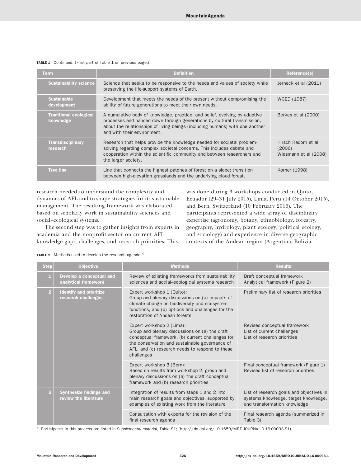|  | <b>TABLE 1</b> Continued. (First part of Table 1 on previous page.) |  |  |  |  |  |  |  |  |  |
|--|---------------------------------------------------------------------|--|--|--|--|--|--|--|--|--|
|--|---------------------------------------------------------------------|--|--|--|--|--|--|--|--|--|

| <b>Term</b>                                | Definition                                                                                                                                                                                                                                                           | Reference(s)                                           |
|--------------------------------------------|----------------------------------------------------------------------------------------------------------------------------------------------------------------------------------------------------------------------------------------------------------------------|--------------------------------------------------------|
| <b>Sustainability science</b>              | Science that seeks to be responsive to the needs and values of society while<br>preserving the life-support systems of Earth.                                                                                                                                        | Jerneck et al (2011)                                   |
| <b>Sustainable</b><br>development          | Development that meets the needs of the present without compromising the<br>ability of future generations to meet their own needs.                                                                                                                                   | <b>WCED (1987)</b>                                     |
| <b>Traditional ecological</b><br>knowledge | A cumulative body of knowledge, practice, and belief, evolving by adaptive<br>processes and handed down through generations by cultural transmission,<br>about the relationships of living beings (including humans) with one another<br>and with their environment. | Berkes et al (2000)                                    |
| <b>Transdisciplinary</b><br>research       | Research that helps provide the knowledge needed for societal problem-<br>solving regarding complex societal concerns. This includes debate and<br>cooperation within the scientific community and between researchers and<br>the larger society.                    | Hirsch Hadorn et al<br>(2006)<br>Wiesmann et al (2008) |
| <b>Tree line</b>                           | Line that connects the highest patches of forest on a slope; transition<br>between high-elevation grasslands and the underlying cloud forest.                                                                                                                        | Körner (1998)                                          |

research needed to understand the complexity and dynamics of AFL and to shape strategies for its sustainable management. The resulting framework was elaborated based on scholarly work in sustainability sciences and social–ecological systems.

The second step was to gather insights from experts in academia and the nonprofit sector on current AFL knowledge gaps, challenges, and research priorities. This

was done during 3 workshops conducted in Quito, Ecuador (29–31 July 2015), Lima, Peru (14 October 2015), and Bern, Switzerland (10 February 2016). The participants represented a wide array of disciplinary expertise (agronomy, botany, ethnobiology, forestry, geography, hydrology, plant ecology, political ecology, and sociology) and experience in diverse geographic contexts of the Andean region (Argentina, Bolivia,

TABLE 2 Methods used to develop the research agenda.<sup>a)</sup>

| <b>Step</b>                                                             | <b>Objective</b>                                        | <b>Methods</b>                                                                                                                                                                                                                                     | <b>Results</b>                                                                                                   |
|-------------------------------------------------------------------------|---------------------------------------------------------|----------------------------------------------------------------------------------------------------------------------------------------------------------------------------------------------------------------------------------------------------|------------------------------------------------------------------------------------------------------------------|
| п                                                                       | Develop a conceptual and<br>analytical framework        | Review of existing frameworks from sustainability<br>sciences and social-ecological systems research                                                                                                                                               | Draft conceptual framework<br>Analytical framework (Figure 2)                                                    |
| $\overline{2}$<br><b>Identify and prioritize</b><br>research challenges |                                                         | Expert workshop 1 (Quito):<br>Group and plenary discussions on (a) impacts of<br>climate change on biodiversity and ecosystem<br>functions, and (b) options and challenges for the<br>restoration of Andean forests                                | Preliminary list of research priorities                                                                          |
|                                                                         |                                                         | Expert workshop 2 (Lima):<br>Group and plenary discussions on (a) the draft<br>conceptual framework, (b) current challenges for<br>the conservation and sustainable governance of<br>AFL, and (c) research needs to respond to these<br>challenges | Revised conceptual framework<br>List of current challenges<br>List of research priorities                        |
|                                                                         |                                                         | Expert workshop 3 (Bern):<br>Based on results from workshop 2, group and<br>plenary discussions on (a) the draft conceptual<br>framework and (b) research priorities                                                                               | Final conceptual framework (Figure 1)<br>Revised list of research priorities                                     |
|                                                                         | <b>Synthesize findings and</b><br>review the literature | Integration of results from steps 1 and 2 into<br>main research goals and objectives, supported by<br>examples of existing work from the literature                                                                                                | List of research goals and objectives in<br>systems knowledge, target knowledge,<br>and transformation knowledge |
|                                                                         |                                                         | Consultation with experts for the revision of the<br>final research agenda                                                                                                                                                                         | Final research agenda (summarized in<br>Table 3)                                                                 |

a) Participants in this process are listed in Supplemental material, Table S1; ([http://dx.doi.org/10.1659/MRD-JOURNAL-D-16-00093.S1\)](http://dx.doi.org/10.1659/MRD-JOURNAL-D-16-00093.S1).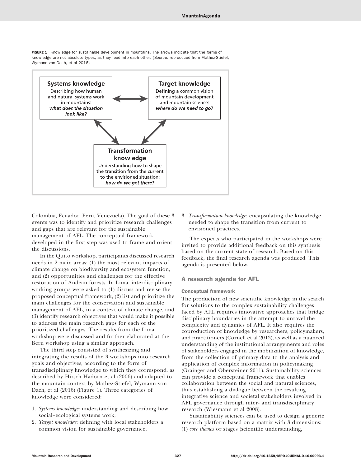FIGURE 1 Knowledge for sustainable development in mountains. The arrows indicate that the forms of knowledge are not absolute types, as they feed into each other. (Source: reproduced from Mathez-Stiefel, Wymann von Dach, et al 2016)



Colombia, Ecuador, Peru, Venezuela). The goal of these 3 events was to identify and prioritize research challenges and gaps that are relevant for the sustainable management of AFL. The conceptual framework developed in the first step was used to frame and orient the discussions.

In the Quito workshop, participants discussed research needs in 2 main areas: (1) the most relevant impacts of climate change on biodiversity and ecosystem function, and (2) opportunities and challenges for the effective restoration of Andean forests. In Lima, interdisciplinary working groups were asked to (1) discuss and revise the proposed conceptual framework, (2) list and prioritize the main challenges for the conservation and sustainable management of AFL, in a context of climate change, and (3) identify research objectives that would make it possible to address the main research gaps for each of the prioritized challenges. The results from the Lima workshop were discussed and further elaborated at the Bern workshop using a similar approach.

The third step consisted of synthesizing and integrating the results of the 3 workshops into research goals and objectives, according to the form of transdisciplinary knowledge to which they correspond, as described by Hirsch Hadorn et al (2006) and adapted to the mountain context by Mathez-Stiefel, Wymann von Dach, et al (2016) (Figure 1). Three categories of knowledge were considered:

- 1. Systems knowledge: understanding and describing how social–ecological systems work;
- 2. Target knowledge: defining with local stakeholders a common vision for sustainable governance;

3. Transformation knowledge: encapsulating the knowledge needed to shape the transition from current to envisioned practices.

The experts who participated in the workshops were invited to provide additional feedback on this synthesis based on the current state of research. Based on this feedback, the final research agenda was produced. This agenda is presented below.

# A research agenda for AFL

# Conceptual framework

The production of new scientific knowledge in the search for solutions to the complex sustainability challenges faced by AFL requires innovative approaches that bridge disciplinary boundaries in the attempt to unravel the complexity and dynamics of AFL. It also requires the coproduction of knowledge by researchers, policymakers, and practitioners (Cornell et al 2013), as well as a nuanced understanding of the institutional arrangements and roles of stakeholders engaged in the mobilization of knowledge, from the collection of primary data to the analysis and application of complex information in policymaking (Grainger and Obersteiner 2011). Sustainability sciences can provide a conceptual framework that enables collaboration between the social and natural sciences, thus establishing a dialogue between the resulting integrative science and societal stakeholders involved in AFL governance through inter- and transdisciplinary research (Wiesmann et al 2008).

Sustainability sciences can be used to design a generic research platform based on a matrix with 3 dimensions: (1) core themes or stages (scientific understanding,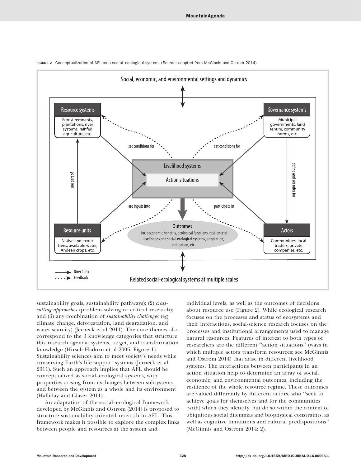

#### FIGURE 2 Conceptualization of AFL as a social–ecological system. (Source: adapted from McGinnis and Ostrom 2014)

sustainability goals, sustainability pathways); (2) crosscutting approaches (problem-solving or critical research); and (3) any combination of sustainability challenges (eg climate change, deforestation, land degradation, and water scarcity) (Jerneck et al 2011). The core themes also correspond to the 3 knowledge categories that structure this research agenda: systems, target, and transformation knowledge (Hirsch Hadorn et al 2006; Figure 1). Sustainability sciences aim to meet society's needs while conserving Earth's life-support systems (Jerneck et al 2011). Such an approach implies that AFL should be conceptualized as social–ecological systems, with properties arising from exchanges between subsystems and between the system as a whole and its environment (Halliday and Glaser 2011).

An adaptation of the social–ecological framework developed by McGinnis and Ostrom (2014) is proposed to structure sustainability-oriented research in AFL. This framework makes it possible to explore the complex links between people and resources at the system and

individual levels, as well as the outcomes of decisions about resource use (Figure 2). While ecological research focuses on the processes and status of ecosystems and their interactions, social-science research focuses on the processes and institutional arrangements used to manage natural resources. Features of interest to both types of researchers are the different ''action situations'' (ways in which multiple actors transform resources; see McGinnis and Ostrom 2014) that arise in different livelihood systems. The interactions between participants in an action situation help to determine an array of social, economic, and environmental outcomes, including the resilience of the whole resource regime. These outcomes are valued differently by different actors, who ''seek to achieve goals for themselves and for the communities [with] which they identify, but do so within the context of ubiquitous social dilemmas and biophysical constraints, as well as cognitive limitations and cultural predispositions'' (McGinnis and Ostrom 2014: 2).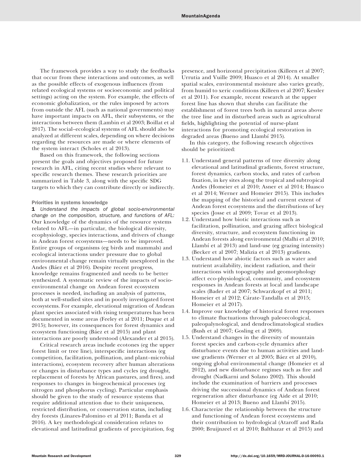The framework provides a way to study the feedbacks that occur from these interactions and outcomes, as well as the possible effects of exogenous influences (from related ecological systems or socioeconomic and political settings) acting on the system. For example, the effects of economic globalization, or the rules imposed by actors from outside the AFL (such as national governments) may have important impacts on AFL, their subsystems, or the interactions between them (Lambin et al 2003; Boillat et al 2017). The social–ecological systems of AFL should also be analyzed at different scales, depending on where decisions regarding the resources are made or where elements of the system interact (Scholes et al 2013).

Based on this framework, the following sections present the goals and objectives proposed for future research in AFL, citing recent studies where relevant to specific research themes. These research priorities are summarized in Table 3, along with the specific SDG targets to which they can contribute directly or indirectly.

#### Priorities in systems knowledge

**1** Understand the impacts of global socio-environmental change on the composition, structure, and functions of AFL: Our knowledge of the dynamics of the resource systems related to AFL—in particular, the biological diversity, ecophysiology, species interactions, and drivers of change in Andean forest ecosystems—needs to be improved. Entire groups of organisms (eg birds and mammals) and ecological interactions under pressure due to global environmental change remain virtually unexplored in the Andes (Báez et al 2016). Despite recent progress, knowledge remains fragmented and needs to be better synthesized. A systematic review of the impacts of socioenvironmental change on Andean forest ecosystem processes is needed, including an analysis of patterns, both at well-studied sites and in poorly investigated forest ecosystems. For example, elevational migration of Andean plant species associated with rising temperatures has been documented in some areas (Feeley et al 2011; Duque et al 2015); however, its consequences for forest dynamics and ecosystem functioning (Báez et al 2015) and plant interactions are poorly understood (Alexander et al 2015).

Critical research areas include ecotones (eg the upper forest limit or tree line), interspecific interactions (eg competition, facilitation, pollination, and plant–microbial interactions), ecosystem recovery after human alterations or changes in disturbance types and cycles (eg drought, replacement of forests by African pastures, and fires), and responses to changes in biogeochemical processes (eg nitrogen and phosphorus cycling). Particular emphasis should be given to the study of resource systems that require additional attention due to their uniqueness, restricted distribution, or conservation status, including dry forests (Linares-Palomino et al 2011; Banda et al 2016). A key methodological consideration relates to elevational and latitudinal gradients of precipitation, fog

presence, and horizontal precipitation (Killeen et al 2007; Urrutia and Vuille 2009; Huasco et al 2014). At smaller spatial scales, environmental moisture also varies greatly, from humid to xeric conditions (Killeen et al 2007; Kessler et al 2011). For example, recent research at the upper forest line has shown that shrubs can facilitate the establishment of forest trees both in natural areas above the tree line and in disturbed areas such as agricultural fields, highlighting the potential of nurse-plant interactions for promoting ecological restoration in degraded areas (Bueno and Llambí 2015).

In this category, the following research objectives should be prioritized:

- 1.1. Understand general patterns of tree diversity along elevational and latitudinal gradients, forest structure, forest dynamics, carbon stocks, and rates of carbon fixation, in key sites along the tropical and subtropical Andes (Homeier et al 2010; Asner et al 2014; Huasco et al 2014; Werner and Homeier 2015). This includes the mapping of the historical and current extent of Andean forest ecosystems and the distributions of key species (Josse et al 2009; Tovar et al 2013).
- 1.2. Understand how biotic interactions such as facilitation, pollination, and grazing affect biological diversity, structure, and ecosystem functioning in Andean forests along environmental (Malhi et al 2010; Llambí et al 2013) and land-use (eg grazing intensity) (Becker et al 2007; Malizia et al 2013) gradients.
- 1.3. Understand how abiotic factors such as water and nutrient availability, incident radiation, and their interactions with topography and geomorphology affect eco-physiological, community, and ecosystem responses in Andean forests at local and landscape scales (Bader et al 2007; Schwarzkopf et al 2011; Homeier et al 2012; Cárate-Tandalla et al 2015; Homeier et al 2017).
- 1.4. Improve our knowledge of historical forest responses to climate fluctuations through paleoecological, paleopalynological, and dendroclimatological studies (Bush et al 2007; Gosling et al 2009).
- 1.5. Understand changes in the diversity of mountain forest species and carbon-cycle dynamics after disturbance events due to human activities and landuse gradients (Werner et al 2005; Báez et al 2010), ongoing global environmental change (Homeier et al 2012), and new disturbance regimes such as fire and drought (Nadkarni and Solano 2002). This should include the examination of barriers and processes driving the successional dynamics of Andean forest regeneration after disturbance (eg Aide et al 2010; Homeier et al 2013; Bueno and Llambí 2015).
- 1.6. Characterize the relationship between the structure and functioning of Andean forest ecosystems and their contribution to hydrological (Ataroff and Rada 2000; Bruijnzeel et al 2010; Balthazar et al 2015) and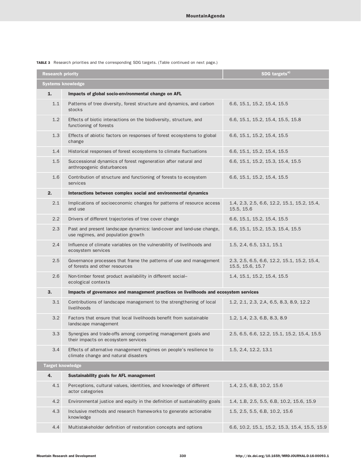TABLE 3 Research priorities and the corresponding SDG targets. (Table continued on next page.)

| <b>Research priority</b> |                                                                                                             | SDG targets <sup>a)</sup>                                       |  |  |  |
|--------------------------|-------------------------------------------------------------------------------------------------------------|-----------------------------------------------------------------|--|--|--|
| <b>Systems knowledge</b> |                                                                                                             |                                                                 |  |  |  |
| 1.                       | Impacts of global socio-environmental change on AFL                                                         |                                                                 |  |  |  |
| 1.1                      | Patterns of tree diversity, forest structure and dynamics, and carbon<br>stocks                             | 6.6, 15.1, 15.2, 15.4, 15.5                                     |  |  |  |
| 1.2                      | Effects of biotic interactions on the biodiversity, structure, and<br>functioning of forests                | 6.6, 15.1, 15.2, 15.4, 15.5, 15.8                               |  |  |  |
| 1.3                      | Effects of abiotic factors on responses of forest ecosystems to global<br>change                            | 6.6, 15.1, 15.2, 15.4, 15.5                                     |  |  |  |
| 1.4                      | Historical responses of forest ecosystems to climate fluctuations                                           | 6.6, 15.1, 15.2, 15.4, 15.5                                     |  |  |  |
| 1.5                      | Successional dynamics of forest regeneration after natural and<br>anthropogenic disturbances                | 6.6, 15.1, 15.2, 15.3, 15.4, 15.5                               |  |  |  |
| 1.6                      | Contribution of structure and functioning of forests to ecosystem<br>services                               | 6.6, 15.1, 15.2, 15.4, 15.5                                     |  |  |  |
| 2.                       | Interactions between complex social and environmental dynamics                                              |                                                                 |  |  |  |
| 2.1                      | Implications of socioeconomic changes for patterns of resource access<br>and use                            | 1.4, 2.3, 2.5, 6.6, 12.2, 15.1, 15.2, 15.4,<br>15.5, 15.6       |  |  |  |
| 2.2                      | Drivers of different trajectories of tree cover change                                                      | 6.6, 15.1, 15.2, 15.4, 15.5                                     |  |  |  |
| 2.3                      | Past and present landscape dynamics: land-cover and land-use change,<br>use regimes, and population growth  | 6.6, 15.1, 15.2, 15.3, 15.4, 15.5                               |  |  |  |
| 2.4                      | Influence of climate variables on the vulnerability of livelihoods and<br>ecosystem services                | 1.5, 2.4, 6.5, 13.1, 15.1                                       |  |  |  |
| 2.5                      | Governance processes that frame the patterns of use and management<br>of forests and other resources        | 2.3, 2.5, 6.5, 6.6, 12.2, 15.1, 15.2, 15.4,<br>15.5, 15.6, 15.7 |  |  |  |
| 2.6                      | Non-timber forest product availability in different social-<br>ecological contexts                          | 1.4, 15.1, 15.2, 15.4, 15.5                                     |  |  |  |
| 3.                       | Impacts of governance and management practices on livelihoods and ecosystem services                        |                                                                 |  |  |  |
| 3.1                      | Contributions of landscape management to the strengthening of local<br>livelihoods                          | 1.2, 2.1, 2.3, 2.A, 6.5, 8.3, 8.9, 12.2                         |  |  |  |
| 3.2                      | Factors that ensure that local livelihoods benefit from sustainable<br>landscape management                 | 1.2, 1.4, 2.3, 6.B, 8.3, 8.9                                    |  |  |  |
| 3.3                      | Synergies and trade-offs among competing management goals and<br>their impacts on ecosystem services        | 2.5, 6.5, 6.6, 12.2, 15.1, 15.2, 15.4, 15.5                     |  |  |  |
| 3.4                      | Effects of alternative management regimes on people's resilience to<br>climate change and natural disasters | 1.5, 2.4, 12.2, 13.1                                            |  |  |  |
| <b>Target knowledge</b>  |                                                                                                             |                                                                 |  |  |  |
| 4.                       | Sustainability goals for AFL management                                                                     |                                                                 |  |  |  |
| 4.1                      | Perceptions, cultural values, identities, and knowledge of different<br>actor categories                    | 1.4, 2.5, 6.B, 10.2, 15.6                                       |  |  |  |
| 4.2                      | Environmental justice and equity in the definition of sustainability goals                                  | 1.4, 1.B, 2.5, 5.5, 6.B, 10.2, 15.6, 15.9                       |  |  |  |
| 4.3                      | Inclusive methods and research frameworks to generate actionable<br>knowledge                               | 1.5, 2.5, 5.5, 6.B, 10.2, 15.6                                  |  |  |  |
| 4.4                      | Multistakeholder definition of restoration concepts and options                                             | 6.6, 10.2, 15.1, 15.2, 15.3, 15.4, 15.5, 15.9                   |  |  |  |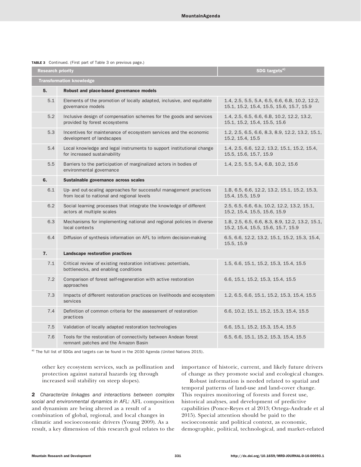# TABLE 3 Continued. (First part of Table 3 on previous page.)

| <b>Research priority</b>        |                                                                                                                  | SDG targets <sup>a)</sup>                                                                  |  |  |  |
|---------------------------------|------------------------------------------------------------------------------------------------------------------|--------------------------------------------------------------------------------------------|--|--|--|
| <b>Transformation knowledge</b> |                                                                                                                  |                                                                                            |  |  |  |
| 5.                              | Robust and place-based governance models                                                                         |                                                                                            |  |  |  |
| 5.1                             | Elements of the promotion of locally adapted, inclusive, and equitable<br>governance models                      | 1.4, 2.5, 5.5, 5.A, 6.5, 6.6, 6.B, 10.2, 12.2,<br>15.1, 15.2, 15.4, 15.5, 15.6, 15.7, 15.9 |  |  |  |
| 5.2                             | Inclusive design of compensation schemes for the goods and services<br>provided by forest ecosystems             | 1.4, 2.5, 6.5, 6.6, 6.B, 10.2, 12.2, 13.2,<br>15.1, 15.2, 15.4, 15.5, 15.6                 |  |  |  |
| 5.3                             | Incentives for maintenance of ecosystem services and the economic<br>development of landscapes                   | 1.2, 2.5, 6.5, 6.6, 8.3, 8.9, 12.2, 13.2, 15.1,<br>15.2, 15.4, 15.5                        |  |  |  |
| 5.4                             | Local knowledge and legal instruments to support institutional change<br>for increased sustainability            | 1.4, 2.5, 6.6, 12.2, 13.2, 15.1, 15.2, 15.4,<br>15.5, 15.6, 15.7, 15.9                     |  |  |  |
| 5.5                             | Barriers to the participation of marginalized actors in bodies of<br>environmental governance                    | 1.4, 2.5, 5.5, 5.A, 6.B, 10.2, 15.6                                                        |  |  |  |
| 6.                              | Sustainable governance across scales                                                                             |                                                                                            |  |  |  |
| 6.1                             | Up- and out-scaling approaches for successful management practices<br>from local to national and regional levels | 1.B, 6.5, 6.6, 12.2, 13.2, 15.1, 15.2, 15.3,<br>15.4, 15.5, 15.9                           |  |  |  |
| 6.2                             | Social learning processes that integrate the knowledge of different<br>actors at multiple scales                 | 2.5, 6.5, 6.6, 6.b, 10.2, 12.2, 13.2, 15.1,<br>15.2, 15.4, 15.5, 15.6, 15.9                |  |  |  |
| 6.3                             | Mechanisms for implementing national and regional policies in diverse<br>local contexts                          | 1.B, 2.5, 6.5, 6.6, 8.3, 8.9, 12.2, 13.2, 15.1,<br>15.2, 15.4, 15.5, 15.6, 15.7, 15.9      |  |  |  |
| 6.4                             | Diffusion of synthesis information on AFL to inform decision-making                                              | 6.5, 6.6, 12.2, 13.2, 15.1, 15.2, 15.3, 15.4,<br>15.5, 15.9                                |  |  |  |
| 7.                              | <b>Landscape restoration practices</b>                                                                           |                                                                                            |  |  |  |
| 7.1                             | Critical review of existing restoration initiatives: potentials,<br>bottlenecks, and enabling conditions         | 1.5, 6.6, 15.1, 15.2, 15.3, 15.4, 15.5                                                     |  |  |  |
| 7.2                             | Comparison of forest self-regeneration with active restoration<br>approaches                                     | 6.6, 15.1, 15.2, 15.3, 15.4, 15.5                                                          |  |  |  |
| 7.3                             | Impacts of different restoration practices on livelihoods and ecosystem<br>services                              | 1.2, 6.5, 6.6, 15.1, 15.2, 15.3, 15.4, 15.5                                                |  |  |  |
| 7.4                             | Definition of common criteria for the assessment of restoration<br>practices                                     | 6.6, 10.2, 15.1, 15.2, 15.3, 15.4, 15.5                                                    |  |  |  |
| 7.5                             | Validation of locally adapted restoration technologies                                                           | 6.6, 15.1, 15.2, 15.3, 15.4, 15.5                                                          |  |  |  |
| 7.6                             | Tools for the restoration of connectivity between Andean forest<br>remnant patches and the Amazon Basin          | 6.5, 6.6, 15.1, 15.2, 15.3, 15.4, 15.5                                                     |  |  |  |

a) The full list of SDGs and targets can be found in the 2030 Agenda (United Nations 2015).

other key ecosystem services, such as pollination and protection against natural hazards (eg through increased soil stability on steep slopes).

2 Characterize linkages and interactions between complex social and environmental dynamics in AFL: AFL composition and dynamism are being altered as a result of a combination of global, regional, and local changes in climatic and socioeconomic drivers (Young 2009). As a result, a key dimension of this research goal relates to the importance of historic, current, and likely future drivers of change as they promote social and ecological changes.

Robust information is needed related to spatial and temporal patterns of land-use and land-cover change. This requires monitoring of forests and forest use, historical analyses, and development of predictive capabilities (Ponce-Reyes et al 2013; Ortega-Andrade et al 2015). Special attention should be paid to the socioeconomic and political context, as economic, demographic, political, technological, and market-related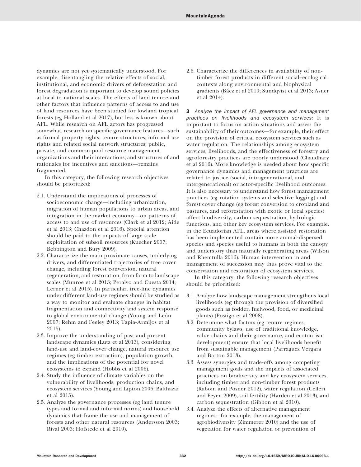dynamics are not yet systematically understood. For example, disentangling the relative effects of social, institutional, and economic drivers of deforestation and forest degradation is important to develop sound policies at local to national scales. The effects of land tenure and other factors that influence patterns of access to and use of land resources have been studied for lowland tropical forests (eg Holland et al 2017), but less is known about AFL. While research on AFL actors has progressed somewhat, research on specific governance features—such as formal property rights; tenure structures; informal use rights and related social network structures; public, private, and common-pool resource management organizations and their interactions; and structures of and rationales for incentives and sanctions—remains fragmented.

In this category, the following research objectives should be prioritized:

- 2.1. Understand the implications of processes of socioeconomic change—including urbanization, migration of human populations to urban areas, and integration in the market economy—on patterns of access to and use of resources (Clark et al 2012; Aide et al 2013; Chazdon et al 2016). Special attention should be paid to the impacts of large-scale exploitation of subsoil resources (Kuecker 2007; Bebbington and Bury 2009).
- 2.2. Characterize the main proximate causes, underlying drivers, and differentiated trajectories of tree cover change, including forest conversion, natural regeneration, and restoration, from farm to landscape scales (Munroe et al 2013; Peralvo and Cuesta 2014; Lerner et al 2015). In particular, tree-line dynamics under different land-use regimes should be studied as a way to monitor and evaluate changes in habitat fragmentation and connectivity and system response to global environmental change (Young and León 2007; Rehm and Feeley 2013; Tapia-Armijos et al 2015).
- 2.3. Improve the understanding of past and present landscape dynamics (Lutz et al 2013), considering land-use and land-cover change, natural resource use regimes (eg timber extraction), population growth, and the implications of the potential for novel ecosystems to expand (Hobbs et al 2006).
- 2.4. Study the influence of climate variables on the vulnerability of livelihoods, production chains, and ecosystem services (Young and Lipton 2006; Balthazar et al 2015).
- 2.5. Analyze the governance processes (eg land tenure types and formal and informal norms) and household dynamics that frame the use and management of forests and other natural resources (Andersson 2003; Rival 2003; Hofstede et al 2010).

2.6. Characterize the differences in availability of nontimber forest products in different social–ecological contexts along environmental and biophysical gradients (Báez et al 2010; Sundqvist et al 2013; Asner et al 2014).

3 Analyze the impact of AFL governance and management practices on livelihoods and ecosystem services: It is important to focus on action situations and assess the sustainability of their outcomes—for example, their effect on the provision of critical ecosystem services such as water regulation. The relationships among ecosystem services, livelihoods, and the effectiveness of forestry and agroforestry practices are poorly understood (Chaudhary et al 2016). More knowledge is needed about how specific governance dynamics and management practices are related to justice (social, intragenerational, and intergenerational) or actor-specific livelihood outcomes. It is also necessary to understand how forest management practices (eg rotation systems and selective logging) and forest cover change (eg forest conversion to cropland and pastures, and reforestation with exotic or local species) affect biodiversity, carbon sequestration, hydrologic functions, and other key ecosystem services. For example, in the Ecuadorian AFL, areas where assisted restoration has been implemented contain more animal-dispersed species and species useful to humans in both the canopy and understory than naturally regenerating areas (Wilson and Rhemtulla 2016). Human intervention in and management of succession may thus prove vital to the conservation and restoration of ecosystem services.

In this category, the following research objectives should be prioritized:

- 3.1. Analyze how landscape management strengthens local livelihoods (eg through the provision of diversified goods such as fodder, fuelwood, food, or medicinal plants) (Postigo et al 2008).
- 3.2. Determine what factors (eg tenure regimes, community bylaws, use of traditional knowledge, value chains and their governance, and ecotourism development) ensure that local livelihoods benefit from sustainable management (Parraguez Vergara and Barton 2013).
- 3.3. Assess synergies and trade-offs among competing management goals and the impacts of associated practices on biodiversity and key ecosystem services, including timber and non-timber forest products (Raboin and Posner 2012), water regulation (Celleri and Feyen 2009), soil fertility (Harden et al 2013), and carbon sequestration (Gibbon et al 2010).
- 3.4. Analyze the effects of alternative management regimes—for example, the management of agrobiodiversity (Zimmerer 2010) and the use of vegetation for water regulation or prevention of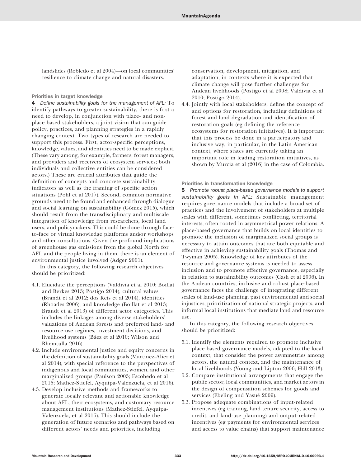landslides (Robledo et al 2004)—on local communities' resilience to climate change and natural disasters.

# Priorities in target knowledge

4 Define sustainability goals for the management of AFL: To identify pathways to greater sustainability, there is first a need to develop, in conjunction with place- and nonplace-based stakeholders, a joint vision that can guide policy, practices, and planning strategies in a rapidly changing context. Two types of research are needed to support this process. First, actor-specific perceptions, knowledge, values, and identities need to be made explicit. (These vary among, for example, farmers, forest managers, and providers and receivers of ecosystem services; both individuals and collective entities can be considered actors.) These are crucial attributes that guide the definition of concepts and concrete sustainability indicators as well as the framing of specific action situations (Pohl et al 2017). Second, common normative grounds need to be found and enhanced through dialogue and social learning on sustainability (Gómez 2015), which should result from the transdisciplinary and multiscale integration of knowledge from researchers, local land users, and policymakers. This could be done through faceto-face or virtual knowledge platforms and/or workshops and other consultations. Given the profound implications of greenhouse gas emissions from the global North for AFL and the people living in them, there is an element of environmental justice involved (Adger 2001).

In this category, the following research objectives should be prioritized:

- 4.1. Elucidate the perceptions (Valdivia et al 2010; Boillat and Berkes 2013; Postigo 2014), cultural values (Brandt et al 2012; dos Reis et al 2014), identities (Rhoades 2006), and knowledge (Boillat et al 2013; Brandt et al 2013) of different actor categories. This includes the linkages among diverse stakeholders' valuations of Andean forests and preferred land- and resource-use regimes, investment decisions, and livelihood systems (Báez et al 2010; Wilson and Rhemtulla 2016).
- 4.2. Include environmental justice and equity concerns in the definition of sustainability goals (Martinez-Alier et al 2014), with special reference to the perspectives of indigenous and local communities, women, and other marginalized groups (Paulson 2003; Escobedo et al 2015; Mathez-Stiefel, Ayquipa-Valenzuela, et al 2016).
- 4.3. Develop inclusive methods and frameworks to generate locally relevant and actionable knowledge about AFL, their ecosystems, and customary resource management institutions (Mathez-Stiefel, Ayquipa-Valenzuela, et al 2016). This should include the generation of future scenarios and pathways based on different actors' needs and priorities, including

conservation, development, mitigation, and adaptation, in contexts where it is expected that climate change will pose further challenges for Andean livelihoods (Postigo et al 2008; Valdivia et al 2010; Postigo 2014).

4.4. Jointly with local stakeholders, define the concept of and options for restoration, including definitions of forest and land degradation and identification of restoration goals (eg defining the reference ecosystems for restoration initiatives). It is important that this process be done in a participatory and inclusive way, in particular, in the Latin American context, where states are currently taking an important role in leading restoration initiatives, as shown by Murcia et al (2016) in the case of Colombia.

#### Priorities in transformation knowledge

5 Promote robust place-based governance models to support sustainability goals in AFL: Sustainable management requires governance models that include a broad set of practices and the involvement of stakeholders at multiple scales with different, sometimes conflicting, territorial interests, often rooted in asymmetrical power relations. A place-based governance that builds on local identities to promote the inclusion of marginalized social groups is necessary to attain outcomes that are both equitable and effective in achieving sustainability goals (Thomas and Twyman 2005). Knowledge of key attributes of the resource and governance systems is needed to assess inclusion and to promote effective governance, especially in relation to sustainability outcomes (Cash et al 2006). In the Andean countries, inclusive and robust place-based governance faces the challenge of integrating different scales of land-use planning, past environmental and social injustices, prioritization of national strategic projects, and informal local institutions that mediate land and resource use.

In this category, the following research objectives should be prioritized:

- 5.1. Identify the elements required to promote inclusive place-based governance models, adapted to the local context, that consider the power asymmetries among actors, the natural context, and the maintenance of local livelihoods (Young and Lipton 2006; Hill 2013).
- 5.2. Compare institutional arrangements that engage the public sector, local communities, and market actors in the design of compensation schemes for goods and services (Ebeling and Yasué 2009).
- 5.3. Propose adequate combinations of input-related incentives (eg training, land tenure security, access to credit, and land-use planning) and output-related incentives (eg payments for environmental services and access to value chains) that support maintenance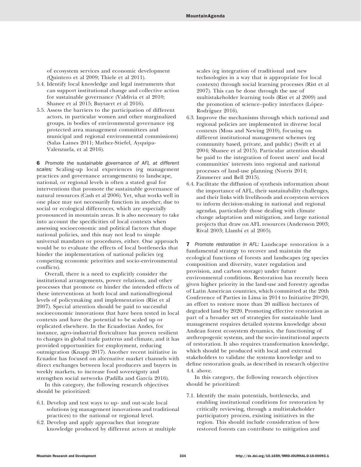of ecosystem services and economic development (Quintero et al 2009; Thiele et al 2011).

- 5.4. Identify local knowledge and legal instruments that can support institutional change and collective action for sustainable governance (Valdivia et al 2010; Shanee et al 2015; Buytaert et al 2016).
- 5.5. Assess the barriers to the participation of different actors, in particular women and other marginalized groups, in bodies of environmental governance (eg protected area management committees and municipal and regional environmental commissions) (Salas Laines 2011; Mathez-Stiefel, Ayquipa-Valenzuela, et al 2016).

6 Promote the sustainable governance of AFL at different scales: Scaling-up local experiences (eg management practices and governance arrangements) to landscape, national, or regional levels is often a stated goal for interventions that promote the sustainable governance of natural resources (Cash et al 2006). Yet, what works well in one place may not necessarily function in another, due to social or ecological differences, which are especially pronounced in mountain areas. It is also necessary to take into account the specificities of local contexts when assessing socioeconomic and political factors that shape national policies, and this may not lead to simple universal mandates or procedures, either. One approach would be to evaluate the effects of local bottlenecks that hinder the implementation of national policies (eg competing economic priorities and socio-environmental conflicts).

Overall, there is a need to explicitly consider the institutional arrangements, power relations, and other processes that promote or hinder the intended effects of these interventions at both local and national/regional levels of policymaking and implementation (Rist et al 2007). Special attention should be paid to successful socioeconomic innovations that have been tested in local contexts and have the potential to be scaled up or replicated elsewhere. In the Ecuadorian Andes, for instance, agro-industrial floriculture has proven resilient to changes in global trade patterns and climate, and it has provided opportunities for employment, reducing outmigration (Knapp 2017). Another recent initiative in Ecuador has focused on alternative market channels with direct exchanges between local producers and buyers in weekly markets, to increase food sovereignty and strengthen social networks (Padilla and García 2016).

In this category, the following research objectives should be prioritized:

- 6.1. Develop and test ways to up- and out-scale local solutions (eg management innovations and traditional practices) to the national or regional level.
- 6.2. Develop and apply approaches that integrate knowledge produced by different actors at multiple

scales (eg integration of traditional and new technologies in a way that is appropriate for local contexts) through social learning processes (Rist et al 2007). This can be done through the use of multistakeholder learning tools (Rist et al 2009) and the promotion of science-policy interfaces (López-Rodríguez 2016).

- 6.3. Improve the mechanisms through which national and regional policies are implemented in diverse local contexts (Moss and Newing 2010), focusing on different institutional management schemes (eg community based, private, and public) (Swift et al 2004; Shanee et al 2015). Particular attention should be paid to the integration of forest users' and local communities' interests into regional and national processes of land-use planning (Norris 2014; Zimmerer and Bell 2015).
- 6.4. Facilitate the diffusion of synthesis information about the importance of AFL, their sustainability challenges, and their links with livelihoods and ecosystem services to inform decision-making in national and regional agendas, particularly those dealing with climate change adaptation and mitigation, and large national projects that draw on AFL resources (Andersson 2003; Rival 2003; Llambí et al 2005).

7 Promote restoration in AFL: Landscape restoration is a fundamental strategy to recover and maintain the ecological functions of forests and landscapes (eg species composition and diversity, water regulation and provision, and carbon storage) under future environmental conditions. Restoration has recently been given higher priority in the land-use and forestry agendas of Latin American countries, which committed at the 20th Conference of Parties in Lima in  $2014$  to Initiative  $20\times20$ . an effort to restore more than 20 million hectares of degraded land by 2020. Promoting effective restoration as part of a broader set of strategies for sustainable land management requires detailed systems knowledge about Andean forest ecosystem dynamics, the functioning of anthropogenic systems, and the socio-institutional aspects of restoration. It also requires transformation knowledge, which should be produced with local and external stakeholders to validate the systems knowledge and to define restoration goals, as described in research objective 4.4. above.

In this category, the following research objectives should be prioritized:

7.1. Identify the main potentials, bottlenecks, and enabling institutional conditions for restoration by critically reviewing, through a multistakeholder participatory process, existing initiatives in the region. This should include consideration of how restored forests can contribute to mitigation and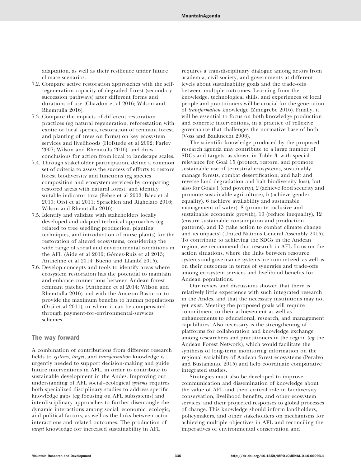adaptation, as well as their resilience under future climate scenarios.

- 7.2. Compare active restoration approaches with the selfregeneration capacity of degraded forest (secondary succession pathways) after different forms and durations of use (Chazdon et al 2016; Wilson and Rhemtulla 2016).
- 7.3. Compare the impacts of different restoration practices (eg natural regeneration, reforestation with exotic or local species, restoration of remnant forest, and planting of trees on farms) on key ecosystem services and livelihoods (Hofstede et al 2002; Farley 2007; Wilson and Rhemtulla 2016), and draw conclusions for action from local to landscape scales.
- 7.4. Through stakeholder participation, define a common set of criteria to assess the success of efforts to restore forest biodiversity and functions (eg species composition and ecosystem services) by comparing restored areas with natural forest, and identify suitable indicator taxa (Fehse et al 2002; Báez et al 2010; Orsi et al 2011; Spracklen and Righelato 2016; Wilson and Rhemtulla 2016).
- 7.5. Identify and validate with stakeholders locally developed and adapted technical approaches (eg related to tree seedling production, planting techniques, and introduction of nurse plants) for the restoration of altered ecosystems, considering the wide range of social and environmental conditions in the AFL (Aide et al 2010; Gómez-Ruiz et al 2013; Anthelme et al 2014; Bueno and Llambí 2015).
- 7.6. Develop concepts and tools to identify areas where ecosystem restoration has the potential to maintain and enhance connections between Andean forest remnant patches (Anthelme et al 2014; Wilson and Rhemtulla 2016) and with the Amazon Basin, or to provide the maximum benefits to human populations (Orsi et al 2011), or where it can be compensated through payment-for-environmental-services schemes.

## The way forward

A combination of contributions from different research fields to systems, target, and transformation knowledge is urgently needed to support decision-making and guide future interventions in AFL, in order to contribute to sustainable development in the Andes. Improving our understanding of AFL social–ecological systems requires both specialized disciplinary studies to address specific knowledge gaps (eg focusing on AFL subsystems) and interdisciplinary approaches to further disentangle the dynamic interactions among social, economic, ecologic, and political factors, as well as the links between actor interactions and related outcomes. The production of target knowledge for increased sustainability in AFL

requires a transdisciplinary dialogue among actors from academia, civil society, and governments at different levels about sustainability goals and the trade-offs between multiple outcomes. Learning from the knowledge, technological skills, and experiences of local people and practitioners will be crucial for the generation of transformation knowledge (Zinngrebe 2016). Finally, it will be essential to focus on both knowledge production and concrete interventions, in a practice of reflexive governance that challenges the normative base of both (Voss and Bauknecht 2006).

The scientific knowledge produced by the proposed research agenda may contribute to a large number of SDGs and targets, as shown in Table 3, with special relevance for Goal 15 (protect, restore, and promote sustainable use of terrestrial ecosystems, sustainably manage forests, combat desertification, and halt and reverse land degradation and halt biodiversity loss), but also for Goals 1 (end poverty), 2 (achieve food security and promote sustainable agriculture), 5 (achieve gender equality), 6 (achieve availability and sustainable management of water), 8 (promote inclusive and sustainable economic growth), 10 (reduce inequality), 12 (ensure sustainable consumption and production patterns), and 13 (take action to combat climate change and its impacts) (United Nations General Assembly 2015). To contribute to achieving the SDGs in the Andean region, we recommend that research in AFL focus on the action situations, where the links between resource systems and governance systems are concretized, as well as on their outcomes in terms of synergies and trade-offs among ecosystem services and livelihood benefits for Andean populations.

Our review and discussions showed that there is relatively little experience with such integrated research in the Andes, and that the necessary institutions may not yet exist. Meeting the proposed goals will require commitment to their achievement as well as enhancements to educational, research, and management capabilities. Also necessary is the strengthening of platforms for collaboration and knowledge exchange among researchers and practitioners in the region (eg the Andean Forest Network), which would facilitate the synthesis of long-term monitoring information on the regional variability of Andean forest ecosystems (Peralvo and Bustamante 2015) and help coordinate comparative integrated studies.

Strategies must also be developed to improve communication and dissemination of knowledge about the value of AFL and their critical role in biodiversity conservation, livelihood benefits, and other ecosystem services, and their projected responses to global processes of change. This knowledge should inform landholders, policymakers, and other stakeholders on mechanisms for achieving multiple objectives in AFL and reconciling the imperatives of environmental conservation and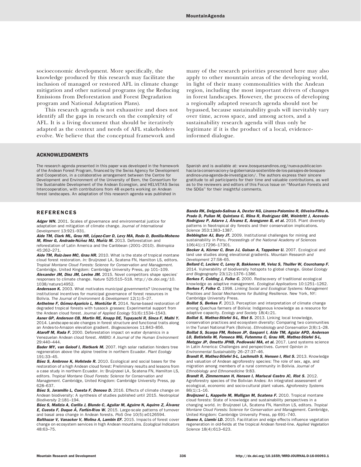socioeconomic development. More specifically, the knowledge produced by this research may facilitate the inclusion of managed or restored AFL in climate change mitigation and other national programs (eg the Reducing Emissions from Deforestation and Forest Degradation program and National Adaptation Plans).

This research agenda is not exhaustive and does not identify all the gaps in research on the complexity of AFL. It is a living document that should be iteratively adapted as the context and needs of AFL stakeholders evolve. We believe that the conceptual framework and

many of the research priorities presented here may also apply to other mountain areas of the developing world, in light of their many commonalities with the Andean region, including the most important drivers of changes in forest landscapes. However, the process of developing a regionally adapted research agenda should not be bypassed, because sustainability goals will inevitably vary over time, across space, and among actors, and a sustainability research agenda will thus only be legitimate if it is the product of a local, evidenceinformed dialogue.

# ACKNOWLEDGMENTS

The research agenda presented in this paper was developed in the framework of the Andean Forest Program, financed by the Swiss Agency for Development and Cooperation, in a collaborative arrangement between the Centre for Development and Environment of the University of Bern, the Consortium for the Sustainable Development of the Andean Ecoregion, and HELVETAS Swiss Intercooperation, with contributions from 48 experts working on Andean forest landscapes. An adaptation of this research agenda was published in

#### REFERENCES

Adger WN. 2001. Scales of governance and environmental justice for adaptation and mitigation of climate change. Journal of International Development 13:921–931.

Aide TM, Clark ML, Grau HR, López-Carr D, Levy MA, Redo D, Bonilla-Moheno M, Riner G, Andrade-Núñez MJ, Muñiz M. 2013. Deforestation and reforestation of Latin America and the Caribbean (2001–2010). Biotropica 45:262–271.

Aide TM, Ruiz-Jaen MC, Grau HR. 2010. What is the state of tropical montane cloud forest restoration. In: Bruijnzeel LA, Scatena FN, Hamilton LS, editors. Tropical Montane Cloud Forests: Science for Conservation and Management. Cambridge, United Kingdom: Cambridge University Press, pp 101–109. Alexander JM, Diez JM, Levine JM. 2015. Novel competitors shape species' responses to climate change. Nature 525:515–518. [http://dx.doi.org/10.](http://dx.doi.org/10.1038/nature14952) [1038/nature14952](http://dx.doi.org/10.1038/nature14952).

Andersson K. 2003. What motivates municipal governments? Uncovering the institutional incentives for municipal governance of forest resources in Bolivia. The Journal of Environment & Development 12(1):5–27.

Anthelme F, Gómez-Aparicio L, Montúfar R. 2014. Nurse-based restoration of degraded tropical forests with tussock grasses: Experimental support from the Andean cloud forest. Journal of Applied Ecology 51(6):1534–1543.

Asner GP, Anderson CB, Martin RE, Knapp DE, Tupayachi R, Sinca F, Malhi Y. 2014. Landscape-scale changes in forest structure and functional traits along an Andes-to-Amazon elevation gradient. Biogeosciences 11:843–856.

Ataroff M, Rada F. 2000. Deforestation impact on water dynamics in a Venezuelan Andean cloud forest. AMBIO: A Journal of the Human Environment 29:440–444.

Bader MY, van Geloof I, Rietkerk M. 2007. High solar radiation hinders tree regeneration above the alpine treeline in northern Ecuador. Plant Ecology 191:33–45.

Báez S, Ambrose K, Hofstede R. 2010. Ecological and social bases for the restoration of a high Andean cloud forest: Preliminary results and lessons from a case study in northern Ecuador. In: Bruijnzeel LA, Scatena FN, Hamilton LS, editors. Tropical Montane Cloud Forests: Science for Conservation and Management. Cambridge, United Kingdom: Cambridge University Press, pp 628–637.

Báez S, Jaramillo L, Cuesta F, Donoso D. 2016. Effects of climate change on Andean biodiversity: A synthesis of studies published until 2015. Neotropical Biodiversity 2:181–194.

Báez S, Malizia A, Carilla J, Blundo C, Aguilar M, Aguirre N, Aquirre Z, Álvarez E, Cuesta F, Duque Á, Farfán-Ríos W. 2015. Large-scale patterns of turnover and basal area change in Andean forests. PloS One 10(5):e0126594.

Balthazar V, Vanacker V, Molina A, Lambin EF. 2015. Impacts of forest cover change on ecosystem services in high Andean mountains. Ecological Indicators 48:63–75.

Spanish and is available at: [www.bosquesandinos.org/nueva-publicacion](http://www.bosquesandinos.org/nueva-publicacion-hacia-la-conservacion-y-la-gobernanza-sostenible-de-los-paisajes-de-bosques-andinos-una-agenda-de-investigacion/)[hacia-la-conservacion-y-la-gobernanza-sostenible-de-los-paisajes-de-bosques](http://www.bosquesandinos.org/nueva-publicacion-hacia-la-conservacion-y-la-gobernanza-sostenible-de-los-paisajes-de-bosques-andinos-una-agenda-de-investigacion/)[andinos-una-agenda-de-investigacion/.](http://www.bosquesandinos.org/nueva-publicacion-hacia-la-conservacion-y-la-gobernanza-sostenible-de-los-paisajes-de-bosques-andinos-una-agenda-de-investigacion/) The authors express their sincere gratitude to all participants for their time and valuable contributions, as well as to the reviewers and editors of this Focus Issue on ''Mountain Forests and the SDGs'' for their insightful comments.

#### Banda RK, Delgado-Salinas A, Dexter KG, Linares-Palomino R, Oliveira-Filho A, Prado D, Pullan M, Quintana C, Riina R, Rodríguez GM, Weintritt J, Acevedo-Rodríguez P, Adarve J, Álvarez E, Aranguren B, et al. 2016. Plant diversity patterns in Neotropical dry forests and their conservation implications. Science 353:1383–1387.

**Bebbington AJ, Bury JT.** 2009. Institutional challenges for mining and sustainability in Peru. Proceedings of the National Academy of Sciences 106(41):17296–17301.

Becker A, Körner C, Brun J-J, Guisan A, Tappeiner U. 2007. Ecological and land use studies along elevational gradients. Mountain Research and Development 27:58–65.

Bellard C, Leclerc C, Leroy B, Bakkenes M, Veloz S, Thuiller W, Courchamp F. 2014. Vulnerability of biodiversity hotspots to global change. Global Ecology and Biogeography 23(12):1376–1386.

**Berkes F. Colding J. Folke C.** 2000. Rediscovery of traditional ecological knowledge as adaptive management. Ecological Applications 10:1251–1262. Berkes F, Folke C. 1998. Linking Social and Ecological Systems: Management Practices and Social Mechanisms for Building Resilience. New York, NY: Cambridge University Press.

Boillat S, Berkes F. 2013. Perception and interpretation of climate change among Quechua farmers of Bolivia: Indigenous knowledge as a resource for adaptive capacity. Ecology and Society 18(4):21.

Boillat S, Mathez-Stiefel S-L, Rist S. 2013. Linking local knowledge, conservation practices and ecosystem diversity: Comparing two communities in the Tunari National Park (Bolivia). Ethnobiology and Conservation 2(8):1–28. Boillat S, Scarpa FM, Robson JP, Gasparri I, Aide TM, Aguiar APD, Anderson LO, Batistella M, Fonseca MG, Futemma C, Grau HR, Mathez-Stiefel S-L,

Metzger JP, Ometto JPHB, Pedlowski MA, et al. 2017. Land systems science in Latin America: Challenges and perspectives. Current Opinion in Environmental Sustainability 26–27:37–46.

Brandt R, Mathez-Stiefel S-L, Lachmuth S, Hensen I, Rist S. 2013. Knowledge and valuation of Andean agroforestry species: The role of sex, age, and migration among members of a rural community in Bolivia. Journal of Ethnobiology and Ethnomedicine 9:83.

Brandt R, Zimmermann H, Hensen I, Mariscal Castro JC, Rist S. 2012. Agroforestry species of the Bolivian Andes: An integrated assessment of ecological, economic and socio-cultural plant values. Agroforestry Systems 86(1):1–16.

Bruijnzeel L, Kappelle M, Mulligan M, Scatena F. 2010. Tropical montane cloud forests: State of knowledge and sustainability perspectives in a changing world. In: Bruijnzeel LA, Scatena FN, Hamilton LS, editors, Tropical Montane Cloud Forests: Science for Conservation and Management. Cambridge, United Kingdom: Cambridge University Press, pp 691–740.

Bueno A, Llambí LD. 2015. Facilitation and edge effects influence vegetation regeneration in old-fields at the tropical Andean forest-line. Applied Vegetation Science 18(4):613–623.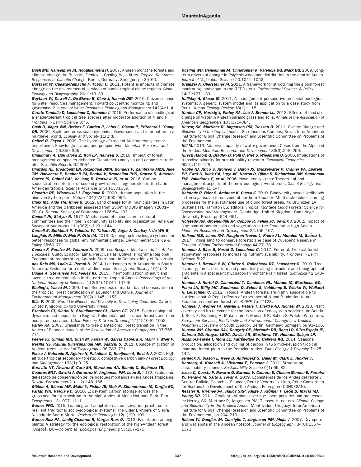Bush MB, Hanselman JA, Hooghiemstra H. 2007. Andean montane forests and climate change. In: Bush M, Flenley J, Gosling W, editors. Tropical Rainforest Responses to Climatic Change. Berlin, Germany: Springer, pp 35–60.

Buytaert W, Cuesta-Camacho F, Tobón C. 2011. Potential impacts of climate change on the environmental services of humid tropical alpine regions. Global Ecology and Biogeography 20(1):19–33.

Buytaert W, Dewulf A, De Bièvre B, Clark J, Hannah DM. 2016. Citizen science for water resources management: Toward polycentric monitoring and

governance? Journal of Water Resources Planning and Management 142(4):1–4. Cárate-Tandalla D, Leuschner C, Homeier J. 2015. Performance of seedlings of a shade-tolerant tropical tree species after moderate addition of N and P. Frontiers in Earth Science 3:75.

Cash D, Adger WN, Berkes F, Garden P, Lebel L, Olsson P, Pritchard L, Young OR. 2006. Scale and cross-scale dynamics: Governance and information in a multilevel world. Ecology and Society 11(2):8.

Celleri R, Feyen J. 2009. The hydrology of tropical Andean ecosystems: Importance, knowledge status, and perspectives. Mountain Research and Development 29:350–355.

Chaudhary A, Burivalova Z, Koh LP, Hellweg S. 2016. Impact of forest management on species richness: Global meta-analysis and economic tradeoffs. Scientific Reports 6:23954.

Chazdon RL, Broadbent EN, Rozendaal DMA, Bongers F, Zambrano AMA, Aide TM, Balvanera P, Becknell JM, Boukili V, Brancalion PHS, Craven D, Almeida-Cortez JS, Cabral GAL, de Jong B, Denslow JS, et al. 2016. Carbon

sequestration potential of second-growth forest regeneration in the Latin American tropics. Science Advances 2(5):e1501639.

Cincotta RP, Wisnewski J, Engelman R. 2000. Human population in the biodiversity hotspots. Nature 404(6781):990–992.

Clark ML, Aide TM, Riner G. 2012. Land change for all municipalities in Latin America and the Caribbean assessed from 250-m MODIS imagery (2001– 2010). Remote Sensing of Environment 126:84–103.

**Connell JH, Slatyer R.** 1977. Mechanisms of succession in natural communities and their role in community stability and organization. American Society of Naturalists 111(982):1119–1144.

Cornell S, Berkhout F, Tuinstra W, Tàbara JD, Jäger J, Chabay I, de Wit B, Langlais R, Mills D, Moll P, Otto IM. 2013. Opening up knowledge systems for better responses to global environmental change. Environmental Science & Policy 28:60–70.

Cuesta F, Peralvo M, Valarezo N. 2009. Los Bosques Montanos de los Andes Tropicales. Quito, Ecuador; Lima, Peru; La Paz, Bolivia: Programa Regional Ecobona-Intercooperation, Agencia Suiza para la Cooperación y el Desarrollo. dos Reis MS, Ladio A, Peroni N. 2014. Landscapes with Araucaria in South America: Evidence for a cultural dimension. Ecology and Society 19(2):43.

Duque A, Stevenson PR, Feeley KJ. 2015. Thermophilization of adult and juvenile tree communities in the northern tropical Andes. Proceedings of the National Academy of Sciences 112(34):10744–10749.

Ebeling J, Yasué M. 2009. The effectiveness of market-based conservation in the tropics: Forest certification in Ecuador and Bolivia. Journal of Environmental Management 90(2):1145–1153.

**Ellis F.** 2000. Rural Livelihoods and Diversity in Developing Countries. Oxford, United Kingdom: Oxford University Press.

Escobedo FJ, Clerici N, Staudhammer CL, Corzo GT. 2015. Socio-ecological dynamics and inequality in Bogotá, Colombia's public urban forests and their ecosystem services. Urban Forestry & Urban Greening 14(4):1040–1053.

Farley KA. 2007. Grasslands to tree plantations: Forest transition in the Andes of Ecuador. Annals of the Association of American Geographers 97:755– 771.

Feeley KJ, Silman MR, Bush M, Farfan W, Garcia Cabrera K, Malhi Y, Meir P, Revilla NS, Raurau Quisiyupanqui MN, Saatchi S. 2011. Upslope migration of Andean trees. Journal of Biogeography 38:783–791.

Fehse J. Hofstede R. Aguirre N. Paladines C. Kooiiman A. Sevink J. 2002. High altitude tropical secondary forests: A competitive carbon sink? Forest Ecology and Management 163(1):9–25.

Garavito NT, Álvarez E, Caro SA, Murakami AA, Blundo C, Espinoza TB, Cuadros MLT, Gaviria J, Gutíerrez N, Jørgensen PM, León B. 2012. Evaluación del estado de conservación de los bosques montanos en los Andes tropicales. Revista Ecosistemas 21(1–2):148–166.

Gibbon A, Silman MR, Malhi Y, Fisher JB, Meir P, Zimmermann M, Dargie GC, Farfan WR, Garcia KC. 2010. Ecosystem carbon storage across the grassland–forest transition in the high Andes of Manu National Park, Peru. Ecosystems 13:1097–1111.

Gómez FFG. 2015. Learning and adaptation as conservation practices in resilient traditional socio-ecological systems: The Elder Brothers of Sierra Nevada de Santa Marta. Revista de Tecnología 12(1):99-109.

Gómez-Ruiz PA, Lindig-Cisneros R, Vargas-Ríos O. 2013. Facilitation among plants: A strategy for the ecological restoration of the high-Andean forest (Bogotá, DC-Colombia). Ecological Engineering 57:267-275.

Gosling WD, Hanselman JA, Christopher K, Valencia BG, Mark BG. 2009. Longterm drivers of change in Polylepis woodland distribution in the central Andes. Journal of Vegetation Science 20:1041–1052.

Grainger A, Obersteiner M. 2011. A framework for structuring the global forest monitoring landscape in the REDD+ era. Environmental Science & Policy 14(2):127–139.

Halliday A, Glaser M. 2011. A management perspective on social ecological systems: A generic system model and its application to a case study from Peru. Human Ecology Review 18(1):1-18.

Harden CP, Hartsig J, Farley KA, Lee J, Bremer LL. 2013. Effects of land-use change on water in Andean paramo grassland soils. Annals of the Association of American Geographers 103:375–384.

Herzog SK, Martínez R, Jørgensen PM, Tiessen H. 2011. Climate Change and Biodiversity in the Tropical Andes. Sao José dos Campos, Brazil: Inter-American Institute for Global Change Research and Scientific Committee on Problems of the Environment.

Hill M. 2013. Adaptive capacity of water governance: Cases from the Alps and the Andes. Mountain Research and Development 33(3):248–259.

Hirsch Hadorn G, Bradley D, Pohl C, Rist S, Wiesmann U. 2006. Implications of transdisciplinarity for sustainability research. Ecological Economics 60(1):119–128.

Hobbs RJ, Arico S, Aronson J, Baron JS, Bridgewater P, Cramer VA, Epstein PR, Ewel JJ, Klink CA, Lugo AE, Norton D, Ojima D, Richardson DM, Sanderson EW, Valladares F, et al. 2006. Novel ecosystems: Theoretical and

management aspects of the new ecological world order. Global Ecology and Biogeography 15:1–7.

Hofstede R, Báez S, Ambrose K, Cueva K. 2010. Biodiversity-based livelihoods in the ceja andina forest zone of northern Ecuador: Multi-stakeholder learning processes for the sustainable use of cloud forest areas. In: Bruijnzeel LA, .<br>Scatena FN, Hamilton LS, editors. Tropical Montane Cloud Forests: Science for Conservation and Management. Cambridge, United Kingdom: Cambridge University Press, pp 644–651.

Hofstede RG, Groenendijk JP, Coppus R, Fehse JC, Sevink J. 2002. Impact of pine plantations on soils and vegetation in the Ecuadorian high Andes. Mountain Research and Development 22:159–167.

Holland MB, Jones KW, Naughton-Treves L, Freire J-L, Morales M, Suárez L. 2017. Titling land to conserve forests: The case of Cuyabeno Reserve in Ecuador. Global Environmental Change 44:27–38.

Homeier J, Báez S, Hertel D, Leuschner C. 2017. Editorial: Tropical forest ecosystem responses to increasing nutrient availability. Frontiers in Earth Science 5:27.

Homeier J, Breckle S-W, Günter S, Rollenbeck RT, Leuschner C. 2010. Tree diversity, forest structure and productivity along altitudinal and topographical gradients in a species-rich Ecuadorian montane rain forest. Biotropica 42:140– 148.

Homeier J, Hertel D, Camenzind T, Cumbicus NL, Maraun M, Martinson GO, Poma LN, Rillig MC, Sandmann D, Scheu S, Veldkamp E, Wilcke W, Wullaert H, Leuschner C. 2012. Tropical Andean forests are highly susceptible to nutrient inputs? Rapid effects of experimental N and P addition to an Ecuadorian montane forest. PLoS ONE 7:e47128.

Homeier J, Werner FA, Gawlik J, Peters T, Diertl K-HJ, Richter M. 2013. Plant diversity and its relevance for the provision of ecosystem services. In: Bendix J, Beck E, Bräuning A, Makeschin F, Mosandl R, Scheu S, Wilcke W, editors. Ecosystem Services, Biodiversity and Environmental Change in a Tropical

Mountain Ecosystem of South Ecuador. Berlin, Germany: Springer, pp 93–106. Huasco WH, Girardin CAJ, Doughty CE, Metcalfe DB, Baca LD, Silva-Espejo JE, Cabrera DG, Aragão LEOC, Davila AR, Marthews TR, Huaraca-Quispe LP, Alzamora-Taype I, Mora LE, Farfán-Rios W, Cabrera KG. 2014. Seasonal production, allocation and cycling of carbon in two mid-elevation tropical montane forest plots in the Peruvian Andes. Plant Ecology & Diversity 7:125-142.

Jerneck A, Olsson L, Ness B, Anderberg S, Baier M, Clark E, Hickler T, Hornborg A, Kronsell A, Lövbrand E, Persson J. 2011. Structuring sustainability science. Sustainability Science 6(1):69-82.

Josse C, Cuesta F, Navarro G, Barrena V, Cabrera E, Chacon-Moreno E, Ferreira W, Peralvo M, Saito J, Tovar A. 2009. Ecosistemas de los Andes del Norte y Centro: Bolivia, Colombia, Ecuador, Peru y Venezuela. Lima, Peru: Consortium for Sustainable Development of the Andean Ecoregion (CONDESAN).

Kessler K, Grytnes J-A, Halloy SRP, Kluge J, Krömer T, León B, Macía MJ, Young KR. 2011. Gradients of plant diversity: Local patterns and processes. In: Herzog SK, Martínez R, Jørgensen PM, Tiessen H, editors. Climate Change and Biodiversity in the Tropical Andes. Montevideo, Uruguay: Inter-American Institute for Global Change Research and Scientific Committee on Problems of the Environment, pp 204–219.

Killeen TJ, Douglas M, Consiglio T, Jørgensen PM, Mejia J. 2007. Dry spots and wet spots in the Andean hotspot. Journal of Biogeography 34(8):1357– 1373.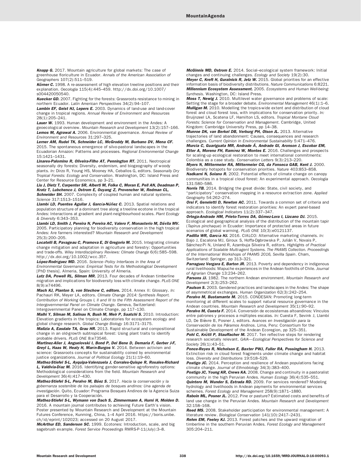Knapp G. 2017. Mountain agriculture for global markets: The case of greenhouse floriculture in Ecuador. Annals of the American Association of Geographers 107(2):511–519.

Körner C. 1998. A re-assessment of high elevation treeline positions and their explanation. Oecologia 115(4):445–459. [http://dx.doi.org/10.1007/](http://dx.doi.org/10.1007/s004420050540) [s004420050540](http://dx.doi.org/10.1007/s004420050540).

Kuecker GD. 2007. Fighting for the forests: Grassroots resistance to mining in northern Ecuador. Latin American Perspectives 34(2):94–107.

Lambin EF, Geist HJ, Lepers E. 2003. Dynamics of land-use and land-cover change in tropical regions. Annual Review of Environment and Resources 28(1):205–241.

Lauer W. 1993. Human development and environment in the Andes: A geoecological overview. Mountain Research and Development 13(2):157–166. Lemos M, Agrawal A. 2006. Environmental governance. Annual Review of Environment and Resources 31:297–325.

Lerner AM, Rudel TK, Schneider LC, McGroddy M, Burbano DV, Mena CF. 2015. The spontaneous emergence of silvo-pastoral landscapes in the Ecuadorian Amazon: Patterns and processes. Regional Environmental Change 15:1421–1431.

Linares-Palomino R, Oliveira-Filho AT, Pennington RT. 2011. Neotropical seasonally dry forests: Diversity, endemism, and biogeography of woody plants. In: Dirzo R, Young HS, Mooney HA, Ceballos G, editors. Seasonally Dry Tropical Forests: Ecology and Conservation. Washington, DC: Island Press and Center for Resource Economics, pp 3–21.

Liu J, Dietz T, Carpenter SR, Alberti M, Folke C, Moran E, Pell AN, Deadman P, Kratz T, Lubchenco J, Ostrom E, Ouyang Z, Provencher W, Redman CL, **Schneider SH.** 2007. Complexity of coupled human and natural systems. Science 317:1513–1516.

Llambí LD, Puentes Aguilar J, García-Núñez C. 2013. Spatial relations and population structure of a dominant tree along a treeline ecotone in the tropical Andes: Interactions at gradient and plant-neighbourhood scales. Plant Ecology & Diversity 6:343–353.

Llambí LD, Smith J, Pereira N, Pereira AC, Valero F, Monasterio M, Dávila MV. 2005. Participatory planning for biodiversity conservation in the high tropical Andes: Are farmers interested? Mountain Research and Development 25(3):200–205.

Locatelli B, Pavageau C, Pramova E, Di Gregorio M. 2015. Integrating climate change mitigation and adaptation in agriculture and forestry: Opportunities and trade-offs. Wiley Interdisciplinary Reviews: Climate Change 6(6):585–598. <http://dx.doi.org/10.1002/wcc.357>.

López-Rodríguez MD. 2016. Science-Policy Interfaces in the Area of Environmental Governance: Empirical Tests for its Methodological Development [PhD thesis]. Almeria, Spain: University of Almeria.

Lutz DA, Powell RL, Silman MR. 2013. Four decades of Andean timberline migration and implications for biodiversity loss with climate change. PLoS ONE 8(9):e74496.

Mach KJ, Planton S, von Stechow C, editors. 2014. Annex II: Glossary. In: Pachauri RK, Meyer LA, editors. Climate Change 2014: Synthesis Report. Contribution of Working Groups I, II and III to the Fifth Assessment Report of the Intergovernmental Panel on Climate Change. Geneva, Switzerland: Intergovernmental Panel on Climate Change, pp 117–130.

Malhi Y, Silman M, Salinas N, Bush M, Meir P, Saatchi S. 2010. Introduction: Elevation gradients in the tropics: Laboratories for ecosystem ecology and global change research. Global Change Biology 16:3171–3175.

Malizia A, Easdale TA, Grau HR. 2013. Rapid structural and compositional change in an old-growth subtropical forest: Using plant traits to identify probable drivers. PLoS ONE 8:e73546.

Martinez-Alier J, Anguelovski I, Bond P, Del Bene D, Demaria F, Gerber J-F, Greyl L, Haas W, Healy H, Marín-Burgos V. 2014. Between activism and science: Grassroots concepts for sustainability coined by environmental justice organizations. Journal of Political Ecology 21(1):19-60. Mathez-Stiefel S-L, Ayquipa-Valenzuela J, Corrales-Quispe R, Rosales-Richard

L, Valdivia-Díaz M. 2016. Identifying gender-sensitive agroforestry options: Methodological considerations from the field. Mountain Research and Development 36(4):417–430.

Mathez-Stiefel S-L, Peralvo M, Báez S. 2017. Hacia la conservación y la gobernanza sostenible de los paisajes de bosques andinos: Una agenda de investigación. Quito, Ecuador: Programa Bosques Andinos de la Agencia Suiza para el Desarrollo y la Cooperación.

Mathez-Stiefel S-L, Wymann von Dach S, Zimmermann A, Hurni H, Molden D. 2016. A mountain journal contributes to achieving Future Earth's vision. Poster presented by Mountain Research and Development at the Mountain Futures Conference, Kunming, China, 1–4 April 2016. [https://boris.unibe.](https://boris.unibe.ch/id/eprint/102023) [ch/id/eprint/102023](https://boris.unibe.ch/id/eprint/102023); accessed on 20 August 2017.

McArthur ED, Sanderson SC. 1999. Ecotones: Introduction, scale, and big sagebrush example. Forest Service Proceedings RMRS-P-11(July):3–8.

McGinnis MD, Ostrom E. 2014. Social-ecological system framework: Initial changes and continuing challenges. Ecology and Society 19(2):30.

Meyer C, Kreft H, Guralnick R, Jetz W. 2015. Global priorities for an effective information basis of biodiversity distributions. Nature Communications 6:8221. Millennium Ecosystem Assessment. 2005. Ecosystems and Human Well-being: Synthesis. Washington, DC: Island Press.

Moss T, Newig J. 2010. Multilevel water governance and problems of scale: Setting the stage for a broader debate. Environmental Management 46(1):1-6. Mulligan M. 2010. Modelling the tropics-wide extent and distribution of cloud forest and cloud forest loss, with implications for conservation priority. In: Bruijnzeel LA, Scatena LF, Hamilton LS, editors. Tropical Montane Cloud Forests: Science for Conservation and Management. Cambridge, United Kingdom: Cambridge University Press, pp 14–38.

Munroe DK, van Berkel DB, Verburg PH, Olson JL. 2013. Alternative trajectories of land abandonment: Causes, consequences and research challenges. Current Opinion in Environmental Sustainability 5:471–476. Murcia C, Guariguata MR, Andrade Á, Andrade GI, Aronson J, Escobar EM,

Etter A, Moreno FH, Ramírez W, Montes E. 2016. Challenges and prospects for scaling-up ecological restoration to meet international commitments: Colombia as a case study. Conservation Letters 9(3):213–220.

Myers N, Mittermeier RA, Mittermeier CG, da Fonseca GAB, Kent J. 2000. Biodiversity hotspots for conservation priorities. Nature 403:853–858. Nadkarni N, Solano R. 2002. Potential effects of climate change on canopy communities in a tropical cloud forest: An experimental approach. Oecologia 131:580–586.

Norris TB. 2014. Bridging the great divide: State, civil society, and "participatory" conservation mapping in a resource extraction zone. Applied Geography 54:262–274.

Orsi F, Geneletti D, Newton AC. 2011. Towards a common set of criteria and indicators to identify forest restoration priorities: An expert panel-based approach. Ecological Indicators 11(2):337–347.

Ortega-Andrade HM, Prieto-Torres DA, Gómez-Lora I, Lizcano DJ. 2015. Ecological and geographical analysis of the distribution of the mountain tapir (Tapirus pinchaque) in Ecuador: Importance of protected areas in future scenarios of global warming. PLoS ONE 10(3):e0121137.

Padilla WR, García HJ. 2016. CIALCO: Alternative marketing channels. In: Bajo J, Escalona MJ, Giroux S, Hoffa-Dąbrowska P, Julián V, Novais P, Sánchez-Pi N, Unland R, Azambuja Silveira R, editors. Highlights of Practical Applications of Scalable Multi-agent Systems. The PAAMS Collection. Proceedings of the International Workshops of PAAMS 2016, Sevilla Spain. Cham, Switzerland: Springer, pp 313–321.

Parraguez Vergara E, Barton JR. 2013. Poverty and dependency in indigenous rural livelihoods: Mapuche experiences in the Andean foothills of Chile. Journal of Agrarian Change 13:234–262.

Parsons JJ. 1982. The northern Andean environment. Mountain Research and Development 2(3):253–262.

Paulson S. 2003. Gendered practices and landscapes in the Andes: The shape of asymmetrical exchanges. Human Organization 62(3):242–254.

Peralvo M, Bustamante M. 2015. CONDESAN: Promoting long-term monitoring at different scales to support natural resource governance in the Andean countries. Mountain Research and Development 35(1):90–92.

Peralvo M, Cuesta F. 2014. Conversión de ecosistemas altoandinos: Vínculos entre patrones y procesos a múltiples escalas. In: Cuesta F, Sevink J, Llambí LD, De Bièvre B, Posner J, editors. Avances en Investigación para la

Conservación de los Páramos Andinos. Lima, Peru: Consortium for the Sustainable Development of the Andean Ecoregion, pp 325–351. Pohl C, Krütli P, Stauffacher M. 2017. Ten reflective steps for rendering

research societally relevant. GAIA—Ecological Perspectives for Science and Society 26(1):43-51.

Ponce-Reyes R, Nicholson E, Baxter PWJ, Fuller RA, Possingham H. 2013. Extinction risk in cloud forest fragments under climate change and habitat loss. Diversity and Distributions 19:518–529.

Postigo JC. 2014. Perception and resilience of Andean populations facing climate change. Journal of Ethnobiology 34(3):383–400.

Postigo JC, Young KR, Crews KA. 2008. Change and continuity in a pastoralist community in the high Peruvian Andes. Human Ecology 36(4):535–551. Quintero M, Wunder S, Estrada RD. 2009. For services rendered? Modeling

hydrology and livelihoods in Andean payments for environmental services schemes. Forest Ecology and Management 258(9):1871–1880.

Raboin ML, Posner JL. 2012. Pine or pasture? Estimated costs and benefits of land use change in the Peruvian Andes. Mountain Research and Development 32:158–168.

Reed MS. 2008. Stakeholder participation for environmental management: A literature review. Biological Conservation 141(10):2417–2431.

Rehm EM, Feeley KJ. 2013. Forest patches and the upward migration of timberline in the southern Peruvian Andes. Forest Ecology and Management 305:204–211.